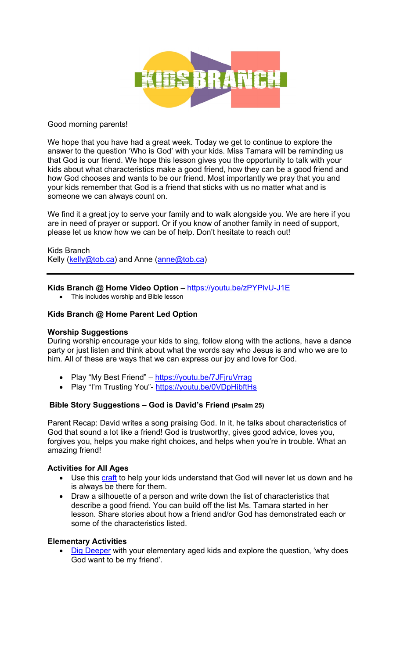

### Good morning parents!

We hope that you have had a great week. Today we get to continue to explore the answer to the question 'Who is God' with your kids. Miss Tamara will be reminding us that God is our friend. We hope this lesson gives you the opportunity to talk with your kids about what characteristics make a good friend, how they can be a good friend and how God chooses and wants to be our friend. Most importantly we pray that you and your kids remember that God is a friend that sticks with us no matter what and is someone we can always count on.

We find it a great joy to serve your family and to walk alongside you. We are here if you are in need of prayer or support. Or if you know of another family in need of support, please let us know how we can be of help. Don't hesitate to reach out!

Kids Branch Kelly (kelly@tob.ca) and Anne (anne@tob.ca)

### **Kids Branch @ Home Video Option –** https://youtu.be/zPYPlvU-J1E

• This includes worship and Bible lesson

## **Kids Branch @ Home Parent Led Option**

#### **Worship Suggestions**

During worship encourage your kids to sing, follow along with the actions, have a dance party or just listen and think about what the words say who Jesus is and who we are to him. All of these are ways that we can express our joy and love for God.

- Play "My Best Friend" https://youtu.be/7JFjruVrrag
- Play "I'm Trusting You"- https://youtu.be/0VDpHibftHs

# **Bible Story Suggestions – God is David's Friend (Psalm 25)**

Parent Recap: David writes a song praising God. In it, he talks about characteristics of God that sound a lot like a friend! God is trustworthy, gives good advice, loves you, forgives you, helps you make right choices, and helps when you're in trouble. What an amazing friend!

#### **Activities for All Ages**

- Use this craft to help your kids understand that God will never let us down and he is always be there for them.
- Draw a silhouette of a person and write down the list of characteristics that describe a good friend. You can build off the list Ms. Tamara started in her lesson. Share stories about how a friend and/or God has demonstrated each or some of the characteristics listed.

# **Elementary Activities**

• Dig Deeper with your elementary aged kids and explore the question, 'why does God want to be my friend'.